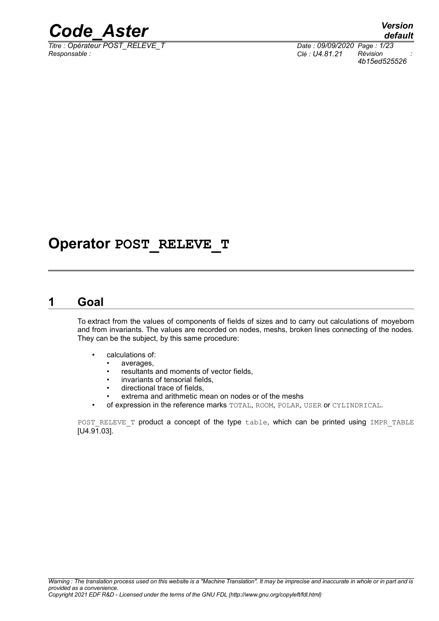

*Titre : Opérateur POST\_RELEVE\_T Date : 09/09/2020 Page : 1/23 Responsable : Clé : U4.81.21 Révision :*

## **Operator POST\_RELEVE\_T**

### **1 Goal**

To extract from the values of components of fields of sizes and to carry out calculations of moyeborn and from invariants. The values are recorded on nodes, meshs, broken lines connecting of the nodes. They can be the subject, by this same procedure:

- calculations of:
	- averages,
	- resultants and moments of vector fields,
	- invariants of tensorial fields,
	- directional trace of fields,
	- extrema and arithmetic mean on nodes or of the meshs
- of expression in the reference marks TOTAL, ROOM, POLAR, USER or CYLINDRICAL.

POST RELEVE T product a concept of the type table, which can be printed using IMPR TABLE  $[U4.91.03]$ .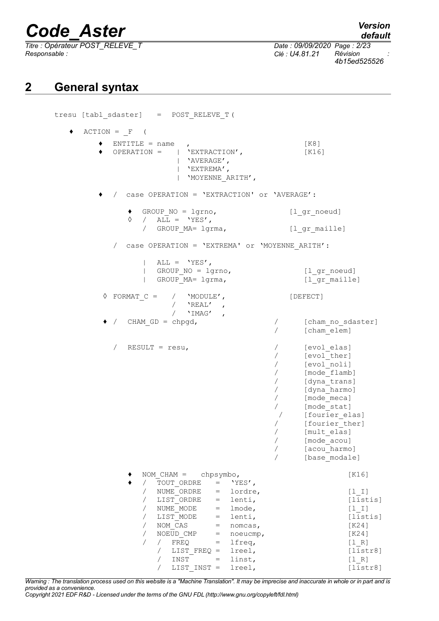*Titre : Opérateur POST\_RELEVE\_T Date : 09/09/2020 Page : 2/23*

*default Responsable : Clé : U4.81.21 Révision :*

*4b15ed525526*

## **2 General syntax**

| tresu [tabl_sdaster] = POST_RELEVE_T(                                                                                                                                                                                                                                                                                                                                                                                                                          |                                                                                                                                                                                                                                          |
|----------------------------------------------------------------------------------------------------------------------------------------------------------------------------------------------------------------------------------------------------------------------------------------------------------------------------------------------------------------------------------------------------------------------------------------------------------------|------------------------------------------------------------------------------------------------------------------------------------------------------------------------------------------------------------------------------------------|
| $ACTION = F$ (                                                                                                                                                                                                                                                                                                                                                                                                                                                 |                                                                                                                                                                                                                                          |
| $ENTITLE = name$ ,<br>OPERATION = $ $ 'EXTRACTION',<br>  'AVERAGE',<br>$ $ 'EXTREMA',<br>'MOYENNE ARITH',                                                                                                                                                                                                                                                                                                                                                      | [K8]<br>[K16]                                                                                                                                                                                                                            |
| / case OPERATION = 'EXTRACTION' or 'AVERAGE':                                                                                                                                                                                                                                                                                                                                                                                                                  |                                                                                                                                                                                                                                          |
| $\bullet$ GROUP NO = lgrno,<br>$\Diamond$ / ALL = 'YES',<br>/ GROUP_MA= lgrma,                                                                                                                                                                                                                                                                                                                                                                                 | [1 gr noeud]<br>[1 gr maille]                                                                                                                                                                                                            |
| case OPERATION = 'EXTREMA' or 'MOYENNE ARITH':<br>$\sqrt{2}$                                                                                                                                                                                                                                                                                                                                                                                                   |                                                                                                                                                                                                                                          |
| $ALL = 'YES',$<br>GROUP $NO = 1$ grno,<br>GROUP MA= lgrma,                                                                                                                                                                                                                                                                                                                                                                                                     | [l gr noeud]<br>[l gr maille]                                                                                                                                                                                                            |
| $\Diamond$ FORMAT $C = /$ 'MODULE',<br>/ $'REAL'$ ,                                                                                                                                                                                                                                                                                                                                                                                                            | [DEFECT]                                                                                                                                                                                                                                 |
| / $'$ IMAG',<br>$\bullet$ / CHAM GD = chpgd,<br>$\sqrt{2}$                                                                                                                                                                                                                                                                                                                                                                                                     | [cham no sdaster]<br>[cham elem]                                                                                                                                                                                                         |
| $RESULT = resu,$<br>$\sqrt{2}$<br>$\sqrt{2}$<br>$\sqrt{2}$<br>$\sqrt{2}$<br>$\sqrt{2}$<br>$\sqrt{2}$<br>$\sqrt{2}$<br>$\sqrt{2}$<br>$\sqrt{2}$                                                                                                                                                                                                                                                                                                                 | [evol elas]<br>[evol ther]<br>[evol noli]<br>[mode flamb]<br>[dyna trans]<br>[dyna harmo]<br>[mode meca]<br>[mode stat]<br>[fourier elas]<br>$\sqrt{2}$<br>[fourier ther]<br>[mult elas]<br>[mode acou]<br>[acou harmo]<br>[base modale] |
| NOM $CHAM = chpsymbo,$<br>TOUT ORDRE =<br>'YES',<br>$\sqrt{2}$<br>$\sqrt{2}$<br>lordre,<br>NUME ORDRE<br>$=$<br>/ LIST ORDRE<br>lenti,<br>$=$<br>NUME MODE<br>lmode,<br>$\sqrt{2}$<br>$=$<br>LIST MODE<br>lenti,<br>$\sqrt{2}$<br>$=$<br>NOM CAS<br>$\sqrt{2}$<br>$=$<br>nomcas,<br>NOEUD CMP<br>$\sqrt{2}$<br>noeucmp,<br>$=$<br>lfreq,<br>$\sqrt{2}$<br>$\sqrt{2}$<br>FREQ<br>$=$<br>LIST FREQ =<br>lreel,<br>INST<br>linst,<br>$=$<br>lreel,<br>LIST INST = | [K16]<br>$[1  I]$<br>[listis]<br>$[1 1]$<br>[listis]<br>[K24]<br>[K24]<br>[1 R]<br>[liststr8]<br>[1 R]<br>[liststr8]                                                                                                                     |

*Warning : The translation process used on this website is a "Machine Translation". It may be imprecise and inaccurate in whole or in part and is provided as a convenience.*

*Copyright 2021 EDF R&D - Licensed under the terms of the GNU FDL (http://www.gnu.org/copyleft/fdl.html)*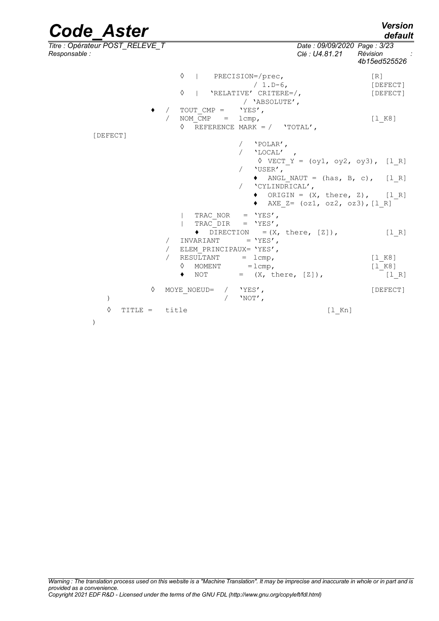### *Code\_Aster Version default Titre : Opérateur POST\_RELEVE\_T Date : 09/09/2020 Page : 3/23 Responsable : Clé : U4.81.21 Révision : 4b15ed525526* ◊ | PRECISION=/prec, [R] / 1.D-6, [DEFECT] ◊ | 'RELATIVE' CRITERE=/, [DEFECT] / 'ABSOLUTE',  $\leftrightarrow$  / TOUT CMP = / NOM  $\overline{C}MP = lcmp,$  [l K8]  $\Diamond$  REFERENCE MARK = / 'TOTAL', [DEFECT] / 'POLAR', / 'LOCAL' ,  $\sqrt{VECT}$  Y = (oy1, oy2, oy3), [l R] / 'USER',  $\triangleleft$  ANGL NAUT = (has, B, c), [l R] / 'CYLINDRICAL',  $\bullet$  ORIGIN =  $(X, \text{ there}, Z), [l_R]$  $\triangleleft$  AXE Z= (oz1, oz2, oz3), [1 R]  $\begin{array}{cccc} \mid & \text{TRAC\_NOR} & = & \text{YES'} \,, \\ \mid & \text{TRAC} & \text{DIR} & = & \text{YES'} \,, \end{array}$ | TRAC\_DIR  $\bullet$  DIRECTION =(X, there, [Z]), [1\_R]<br>INVARIANT = 'YES'. / INVARIANT =  $'YES'$ , / ELEM PRINCIPAUX= 'YES', /  $RESUITANT = lcmp,$  [1K8]  $\Diamond$  MOMENT = lcmp, [l<sup>K8]</sup>  $\bullet$  NOT =  $(X, \text{ there}, [Z])$ , [1R] ◊ MOYE\_NOEUD= / 'YES', [DEFECT] )  $/$  'NOT', ◊ TITLE = title [l\_Kn] )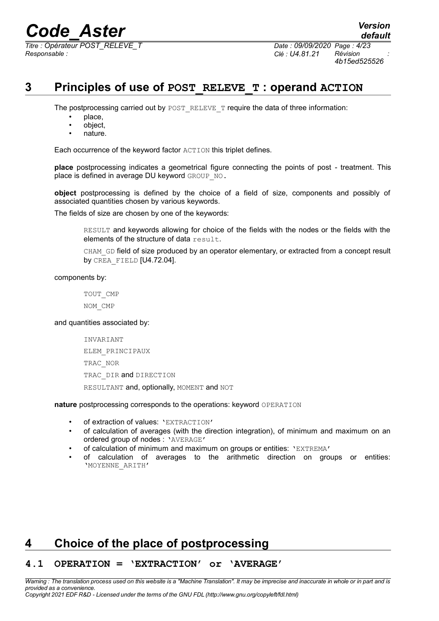*Titre : Opérateur POST\_RELEVE\_T Date : 09/09/2020 Page : 4/23 Responsable : Clé : U4.81.21 Révision :*

### **3 Principles of use of POST\_RELEVE\_T : operand ACTION**

The postprocessing carried out by POST\_RELEVE\_T require the data of three information:

- place,
- object,
- nature.

Each occurrence of the keyword factor ACTION this triplet defines.

**place** postprocessing indicates a geometrical figure connecting the points of post - treatment. This place is defined in average DU keyword GROUP NO.

**object** postprocessing is defined by the choice of a field of size, components and possibly of associated quantities chosen by various keywords.

The fields of size are chosen by one of the keywords:

RESULT and keywords allowing for choice of the fields with the nodes or the fields with the elements of the structure of data result.

CHAM GD field of size produced by an operator elementary, or extracted from a concept result by CREA\_FIELD [U4.72.04].

components by:

TOUT\_CMP NOM\_CMP

### and quantities associated by:

INVARIANT ELEM\_PRINCIPAUX TRAC\_NOR TRAC DIR and DIRECTION RESULTANT and, optionally, MOMENT and NOT

**nature** postprocessing corresponds to the operations: keyword OPERATION

- of extraction of values: 'EXTRACTION'
- of calculation of averages (with the direction integration), of minimum and maximum on an ordered group of nodes : 'AVERAGE'
- of calculation of minimum and maximum on groups or entities: 'EXTREMA'
- of calculation of averages to the arithmetic direction on groups or entities: 'MOYENNE\_ARITH'

## **4 Choice of the place of postprocessing**

### **4.1 OPERATION = 'EXTRACTION' or 'AVERAGE'**

*Warning : The translation process used on this website is a "Machine Translation". It may be imprecise and inaccurate in whole or in part and is provided as a convenience. Copyright 2021 EDF R&D - Licensed under the terms of the GNU FDL (http://www.gnu.org/copyleft/fdl.html)*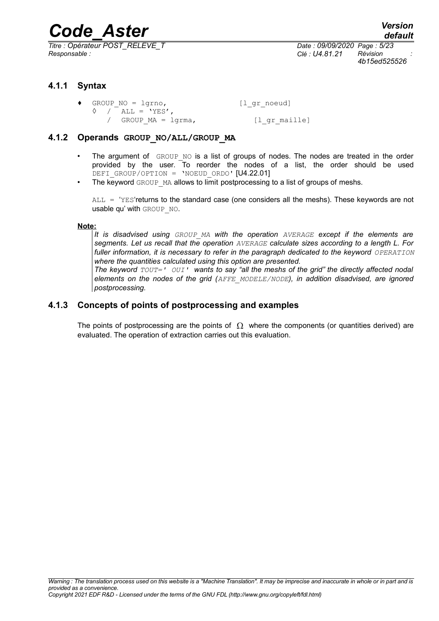*Titre : Opérateur POST\_RELEVE\_T Date : 09/09/2020 Page : 5/23 Responsable : Clé : U4.81.21 Révision :*

*4b15ed525526*

### **4.1.1 Syntax**

| $\bullet$ GROUP NO = lgrno, | $[1$ _gr_noeud] |
|-----------------------------|-----------------|
| $\Diamond$ / ALL = 'YES',   |                 |
| / GROUP $MA = lqrma$ ,      | [l qr maille]   |

### **4.1.2 Operands GROUP\_NO/ALL/GROUP\_MA**

- The argument of GROUP NO is a list of groups of nodes. The nodes are treated in the order provided by the user. To reorder the nodes of a list, the order should be used DEFI\_GROUP/OPTION = 'NOEUD ORDO' [U4.22.01]
- The keyword GROUP MA allows to limit postprocessing to a list of groups of meshs.

ALL = 'YES'returns to the standard case (one considers all the meshs). These keywords are not usable qu' with GROUP NO.

### **Note:**

*It is disadvised using GROUP\_MA with the operation AVERAGE except if the elements are segments. Let us recall that the operation AVERAGE calculate sizes according to a length L. For fuller information, it is necessary to refer in the paragraph dedicated to the keyword OPERATION where the quantities calculated using this option are presented.*

*The keyword TOUT=' OUI' wants to say "all the meshs of the grid" the directly affected nodal elements on the nodes of the grid (AFFE\_MODELE/NODE), in addition disadvised, are ignored postprocessing.*

### **4.1.3 Concepts of points of postprocessing and examples**

The points of postprocessing are the points of  $\Omega$  where the components (or quantities derived) are evaluated. The operation of extraction carries out this evaluation.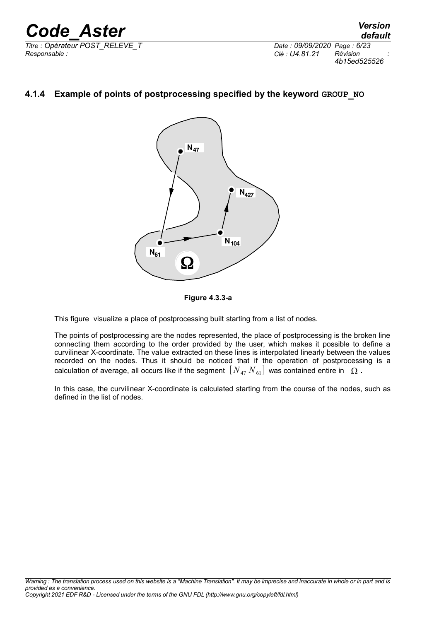*Titre : Opérateur POST\_RELEVE\_T Date : 09/09/2020 Page : 6/23 Responsable : Clé : U4.81.21 Révision :*

*default 4b15ed525526*

### **4.1.4 Example of points of postprocessing specified by the keyword GROUP\_NO**





This figure visualize a place of postprocessing built starting from a list of nodes.

The points of postprocessing are the nodes represented, the place of postprocessing is the broken line connecting them according to the order provided by the user, which makes it possible to define a curvilinear X-coordinate. The value extracted on these lines is interpolated linearly between the values recorded on the nodes. Thus it should be noticed that if the operation of postprocessing is a calculation of average, all occurs like if the segment  $[N_{47} N_{61}]$  was contained entire in  $\Omega$ .

In this case, the curvilinear X-coordinate is calculated starting from the course of the nodes, such as defined in the list of nodes.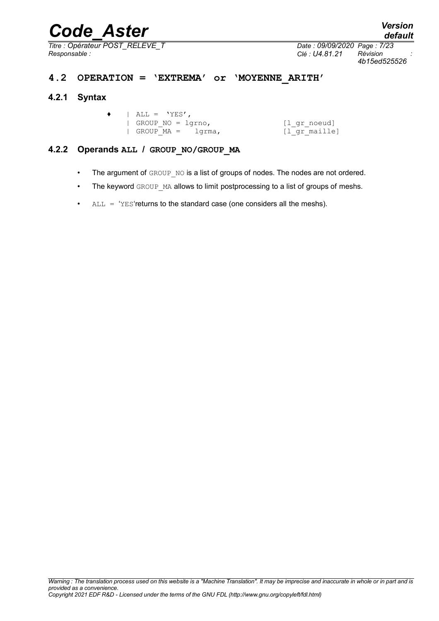*Titre : Opérateur POST\_RELEVE\_T Date : 09/09/2020 Page : 7/23*

*Responsable : Clé : U4.81.21 Révision : 4b15ed525526*

### **4.2 OPERATION = 'EXTREMA' or 'MOYENNE\_ARITH'**

### **4.2.1 Syntax**

|  | $\bullet$   ALL = 'YES', |               |
|--|--------------------------|---------------|
|  | GROUP NO = $lqrho$ ,     | [l gr noeud]  |
|  | $ $ GROUP MA = $1$ qrma, | [l gr maille] |

### **4.2.2 Operands ALL / GROUP\_NO/GROUP\_MA**

- The argument of GROUP NO is a list of groups of nodes. The nodes are not ordered.
- The keyword GROUP MA allows to limit postprocessing to a list of groups of meshs.
- $ALL = 'YES'$ returns to the standard case (one considers all the meshs).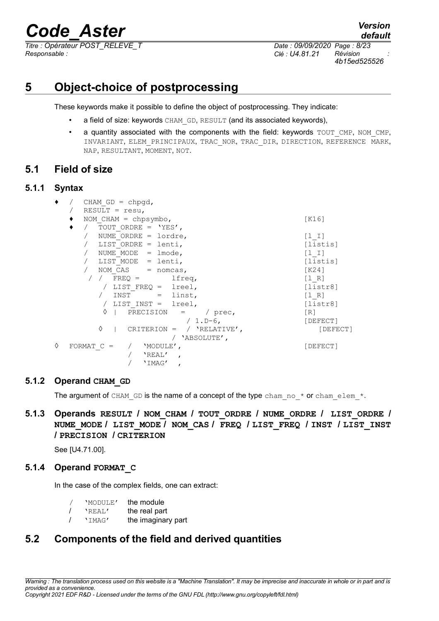*Responsable : Clé : U4.81.21 Révision :*

*default Titre : Opérateur POST\_RELEVE\_T Date : 09/09/2020 Page : 8/23 4b15ed525526*

## **5 Object-choice of postprocessing**

These keywords make it possible to define the object of postprocessing. They indicate:

- a field of size: keywords CHAM GD, RESULT (and its associated keywords),
- a quantity associated with the components with the field: keywords TOUT CMP, NOM CMP, INVARIANT, ELEM\_PRINCIPAUX, TRAC\_NOR, TRAC\_DIR, DIRECTION, REFERENCE MARK, NAP, RESULTANT, MOMENT, NOT.

### **5.1 Field of size**

### **5.1.1 Syntax**

|   | CHAM $GD = chpqd$ ,<br>RESULT = $resu,$                              |                                                     |
|---|----------------------------------------------------------------------|-----------------------------------------------------|
|   | NOM $CHAM = chpsymbo$ ,<br>TOUT ORDRE = $'YES'$ ,                    | [K16]                                               |
|   | NUME ORDRE = $lordre,$<br>LIST ORDRE = lenti,                        | [1 1]<br>[listis]                                   |
|   | NUME MODE $=$ lmode,                                                 | [1 I]                                               |
|   | LIST MODE = lenti,<br>/ NOM $CAS$ = nomcas,                          | [listis]<br>$K24$ ]                                 |
|   | $\frac{1}{2}$ $\frac{1}{2}$ FREQ =<br>lfreq,<br>/ LIST FREQ = lreel, | $\begin{bmatrix} 1 & R \end{bmatrix}$<br>[liststr8] |
|   | INST<br>$=$ linst,<br>/ LIST INST = $lreel$ ,                        | [1 R]<br>[liststr8]                                 |
|   | ♦<br>PRECISION =<br>/ prec,<br>$/ 1.D-6,$                            | [R]<br>[DEFECT]                                     |
|   | ♦<br>CRITERION = $/$ 'RELATIVE',<br>/ 'ABSOLUTE',                    | [DEFECT]                                            |
| 0 | FORMAT $C =$<br>'MODULE',<br>'REAL'<br>$\overline{ }$<br>'IMAG'      | [DEFECT]                                            |

### **5.1.2 Operand CHAM\_GD**

The argument of CHAM GD is the name of a concept of the type cham no  $*$  or cham elem  $*$ .

### **5.1.3 Operands RESULT / NOM\_CHAM / TOUT\_ORDRE / NUME\_ORDRE / LIST\_ORDRE / NUME\_MODE / LIST\_MODE / NOM\_CAS / FREQ / LIST\_FREQ / INST / LIST\_INST / PRECISION / CRITERION**

See [U4.71.00].

### **5.1.4 Operand FORMAT\_C**

In the case of the complex fields, one can extract:

| 'MODULE' | the module         |
|----------|--------------------|
| 'REAL'   | the real part      |
| 'IMAG'   | the imaginary part |

## **5.2 Components of the field and derived quantities**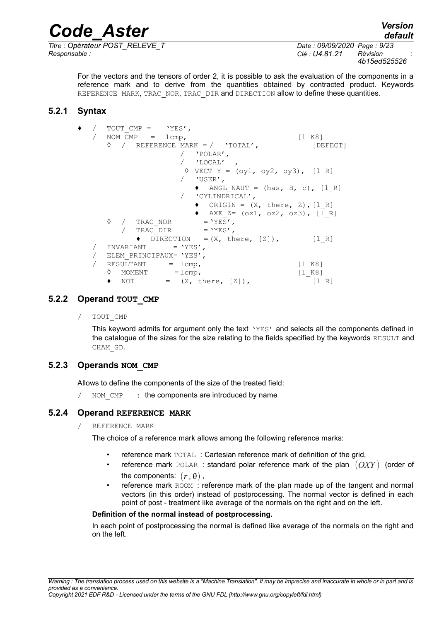*Responsable : Clé : U4.81.21 Révision :*

*Titre : Opérateur POST\_RELEVE\_T Date : 09/09/2020 Page : 9/23 4b15ed525526*

For the vectors and the tensors of order 2, it is possible to ask the evaluation of the components in a reference mark and to derive from the quantities obtained by contracted product. Keywords REFERENCE MARK, TRAC NOR, TRAC DIR and DIRECTION allow to define these quantities.

### **5.2.1 Syntax**

|  | / TOUT CMP = $'YES'$ ,                                        |                                       |
|--|---------------------------------------------------------------|---------------------------------------|
|  | / NOM $CMP = 1$ cmp,                                          | $\lceil 1 \rceil$ K8]                 |
|  | $\Diamond$ / REFERENCE MARK = / 'TOTAL',                      | [DEFECT]                              |
|  | / 'POLAR',                                                    |                                       |
|  | $/$ 'LOCAL',                                                  |                                       |
|  | $\Diamond$ VECT Y = (oy1, oy2, oy3), [1 R]                    |                                       |
|  | / 'USER',                                                     |                                       |
|  | $\blacklozenge$ ANGL NAUT = (has, B, c), [1 R]                |                                       |
|  | / 'CYLINDRICAL',                                              |                                       |
|  | $\bullet$ ORIGIN = $(X, \text{ there}, Z), [l \ R]$           |                                       |
|  | • AXE $Z = (oz1, oz2, oz3)$ , [1 R]                           |                                       |
|  | $\Diamond$ / TRAC NOR = 'YES',                                |                                       |
|  |                                                               |                                       |
|  | / TRAC DIR = 'YES',                                           |                                       |
|  | $\blacklozenge$ DIRECTION = $(X, \text{ there}, [Z])$ , [1 R] |                                       |
|  | $INVARIANT = 'YES'$ ,                                         |                                       |
|  | / ELEM PRINCIPAUX= 'YES',                                     |                                       |
|  | $RESULTANT$ = $1cmp,$                                         | [1 K8]                                |
|  | $\Diamond$ MOMENT = $lcmp,$                                   | [1 K8]                                |
|  | $\bullet$ NOT = $(X, \text{ there}, [Z]),$                    | $\begin{bmatrix} 1 & R \end{bmatrix}$ |
|  |                                                               |                                       |

### **5.2.2 Operand TOUT\_CMP**

TOUT CMP

This keyword admits for argument only the text 'YES' and selects all the components defined in the catalogue of the sizes for the size relating to the fields specified by the keywords RESULT and CHAM\_GD.

### **5.2.3 Operands NOM\_CMP**

Allows to define the components of the size of the treated field:

NOM CMP : the components are introduced by name

### **5.2.4 Operand REFERENCE MARK**

/ REFERENCE MARK

The choice of a reference mark allows among the following reference marks:

- reference mark TOTAL : Cartesian reference mark of definition of the grid,
- reference mark POLAR : standard polar reference mark of the plan (*OXY* ) (order of the components:  $(r, \theta)$ ,
- reference mark ROOM : reference mark of the plan made up of the tangent and normal vectors (in this order) instead of postprocessing. The normal vector is defined in each point of post - treatment like average of the normals on the right and on the left.

### **Definition of the normal instead of postprocessing.**

In each point of postprocessing the normal is defined like average of the normals on the right and on the left.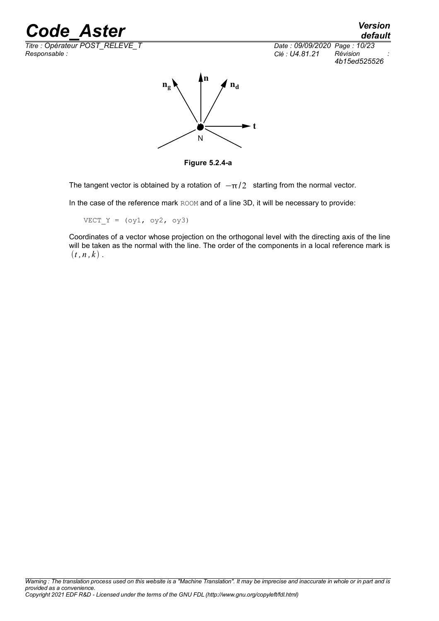*Titre : Opérateur POST\_RELEVE\_T Date : 09/09/2020 Page : 10/23*

*Responsable : Clé : U4.81.21 Révision : 4b15ed525526*



**Figure 5.2.4-a**

The tangent vector is obtained by a rotation of  $-\pi/2$  starting from the normal vector.

In the case of the reference mark ROOM and of a line 3D, it will be necessary to provide:

 $VECT_Y = (oy1, oy2, oy3)$ 

Coordinates of a vector whose projection on the orthogonal level with the directing axis of the line will be taken as the normal with the line. The order of the components in a local reference mark is  $(t, n, k)$ .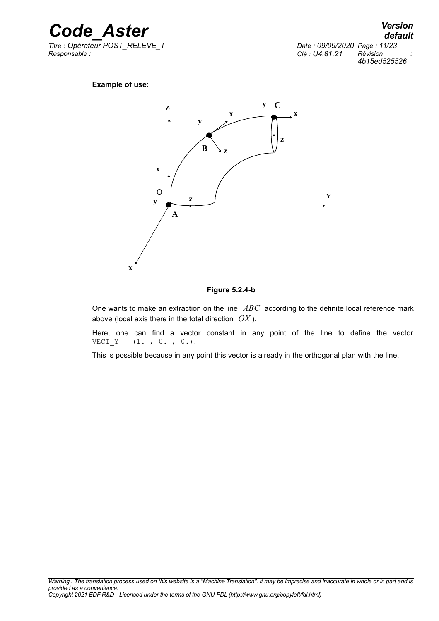

*Titre : Opérateur POST\_RELEVE\_T Date : 09/09/2020 Page : 11/23*

*Responsable : Clé : U4.81.21 Révision : 4b15ed525526*

### **Example of use:**



#### **Figure 5.2.4-b**

One wants to make an extraction on the line *ABC* according to the definite local reference mark above (local axis there in the total direction *OX* ).

Here, one can find a vector constant in any point of the line to define the vector  $VECT_Y = (1. , 0. , 0.).$ 

This is possible because in any point this vector is already in the orthogonal plan with the line.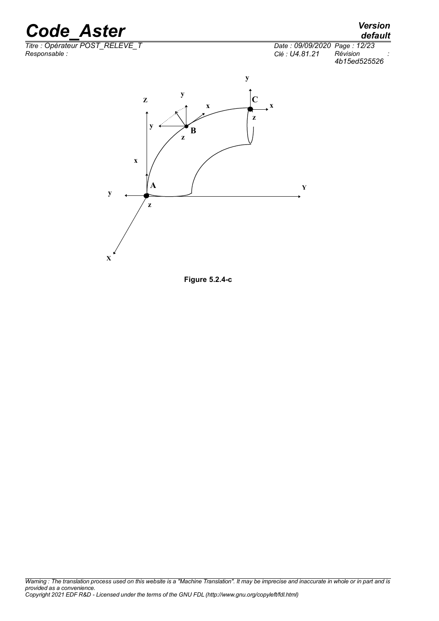*Titre : Opérateur POST\_RELEVE\_T Date : 09/09/2020 Page : 12/23 Responsable : Clé : U4.81.21 Révision :*

## *default*

*4b15ed525526*



**Figure 5.2.4-c**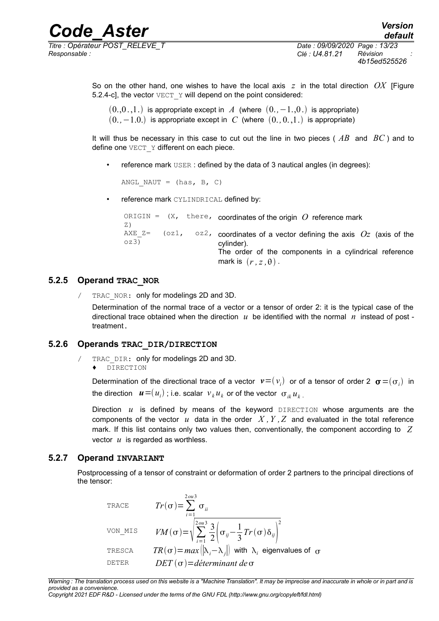*Responsable : Clé : U4.81.21 Révision :*

So on the other hand, one wishes to have the local axis *z* in the total direction *OX* [Figure 5.2.4-c], the vector  $VECT Y$  will depend on the point considered:

 $(0,0,1)$  is appropriate except in *A* (where  $(0,-1,0)$ ) is appropriate)  $(0, -1.0)$  is appropriate except in *C* (where  $(0, 0.1)$  is appropriate)

It will thus be necessary in this case to cut out the line in two pieces ( *AB* and *BC* ) and to define one VECT Y different on each piece.

reference mark USER: defined by the data of 3 nautical angles (in degrees):

ANGL NAUT =  $(has, B, C)$ 

reference mark CYLINDRICAL defined by:

```
<code>ORIGIN</code> = \, (X, \, the\,re, \, coordinates of the origin \,O\, reference mark \,Z)
AXE Z= (oz1,
oz3)
                       \circz<sub>2</sub>, coordinates of a vector defining the axis Oz (axis of the
                               cylinder).
                               The order of the components in a cylindrical reference
                               mark is (r, z, \theta).
```
### **5.2.5 Operand TRAC\_NOR**

/ TRAC\_NOR: only for modelings 2D and 3D.

Determination of the normal trace of a vector or a tensor of order 2: it is the typical case of the directional trace obtained when the direction *u* be identified with the normal *n* instead of post treatment.

### **5.2.6 Operands TRAC\_DIR/DIRECTION**

- / TRAC DIR: only for modelings 2D and 3D.
	- ♦ DIRECTION

Determination of the directional trace of a vector  $\bm{v} {=} (v_i)$  or of a tensor of order 2  $\bm{\sigma} {=} (\sigma_i)$  in the direction  $\boldsymbol{u=} (u_{i})$  ; i.e. scalar  $\vert v_{k} u_{k} \vert$  or of the vector  $\vert \sigma_{ik} u_{k} \vert$ 

Direction  $u$  is defined by means of the keyword  $DIRECTION$  whose arguments are the components of the vector  $u$  data in the order  $X, Y, Z$  and evaluated in the total reference mark. If this list contains only two values then, conventionally, the component according to *Z* vector *u* is regarded as worthless.

### **5.2.7 Operand INVARIANT**

Postprocessing of a tensor of constraint or deformation of order 2 partners to the principal directions of the tensor:

trace

\n
$$
Tr(\sigma) = \sum_{i=1}^{2 \text{ ou } 3} \sigma_{ii}
$$
\nvon\_MIS

\n
$$
VM(\sigma) = \sqrt{\sum_{i=1}^{2 \text{ ou } 3} \frac{3}{2} \left( \sigma_{ij} - \frac{1}{3} Tr(\sigma) \delta_{ij} \right)^2}
$$
\nTESCA

\n
$$
TR(\sigma) = \max \left( \left| \lambda_i - \lambda_j \right| \right) \text{ with } \lambda_i \text{ eigenvalues of } \sigma
$$
\nDETER

\n
$$
DET(\sigma) = \text{d'eterminant de } \sigma
$$

*Warning : The translation process used on this website is a "Machine Translation". It may be imprecise and inaccurate in whole or in part and is provided as a convenience.*

*Copyright 2021 EDF R&D - Licensed under the terms of the GNU FDL (http://www.gnu.org/copyleft/fdl.html)*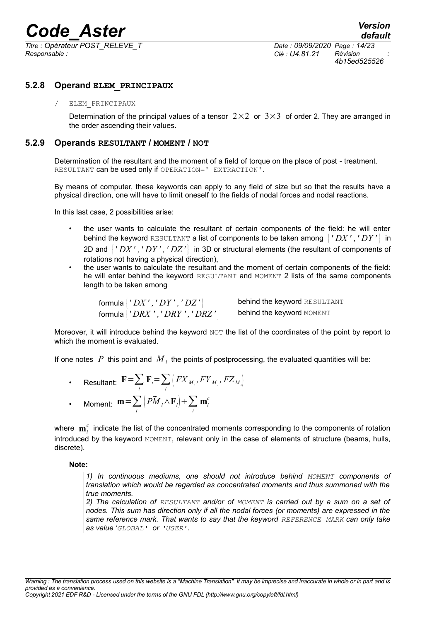*Titre : Opérateur POST\_RELEVE\_T Date : 09/09/2020 Page : 14/23 Responsable : Clé : U4.81.21 Révision :*

*4b15ed525526*

### **5.2.8 Operand ELEM\_PRINCIPAUX**

### / ELEM\_PRINCIPAUX

Determination of the principal values of a tensor  $2\times2$  or  $3\times3$  of order 2. They are arranged in the order ascending their values.

### **5.2.9 Operands RESULTANT / MOMENT / NOT**

Determination of the resultant and the moment of a field of torque on the place of post - treatment. RESULTANT can be used only if OPERATION=' EXTRACTION'.

By means of computer, these keywords can apply to any field of size but so that the results have a physical direction, one will have to limit oneself to the fields of nodal forces and nodal reactions.

In this last case, 2 possibilities arise:

- the user wants to calculate the resultant of certain components of the field: he will enter behind the keyword RESULTANT a list of components to be taken among  $\langle YDX', YDY' \rangle$  in 2D and { *' DX ' ,' DY ' ,' DZ '* } in 3D or structural elements (the resultant of components of rotations not having a physical direction),
- the user wants to calculate the resultant and the moment of certain components of the field: he will enter behind the keyword RESULTANT and MOMENT 2 lists of the same components length to be taken among

formula { *' DX ' , ' DY ' , ' DZ '* } behind the keyword RESULTANT formula { *' DRX ' ,' DRY ' ,' DRZ '* } behind the keyword MOMENT

Moreover, it will introduce behind the keyword NOT the list of the coordinates of the point by report to which the moment is evaluated.

If one notes  $|P|$  this point and  $|M\rangle_i$  the points of postprocessing, the evaluated quantities will be:

- Resultant:  $\mathbf{F} = \sum_i \mathbf{F}_i = \sum_i \left( FX_{M_i}, FY_{M_i}, FZ_{M_i} \right)$
- Moment:  $m = \sum_i$  $\left(P\vec{M}_i \wedge \mathbf{F}_i\right) + \sum_i$  $\mathbf{m}^c_i$

where  $\mathbf{m}_i^c$  indicate the list of the concentrated moments corresponding to the components of rotation introduced by the keyword MOMENT, relevant only in the case of elements of structure (beams, hulls, discrete).

### **Note:**

*1) In continuous mediums, one should not introduce behind MOMENT components of translation which would be regarded as concentrated moments and thus summoned with the true moments.*

*2) The calculation of RESULTANT and/or of MOMENT is carried out by a sum on a set of nodes. This sum has direction only if all the nodal forces (or moments) are expressed in the same reference mark. That wants to say that the keyword REFERENCE MARK can only take as value 'GLOBAL' or 'USER'.*

*Warning : The translation process used on this website is a "Machine Translation". It may be imprecise and inaccurate in whole or in part and is provided as a convenience. Copyright 2021 EDF R&D - Licensed under the terms of the GNU FDL (http://www.gnu.org/copyleft/fdl.html)*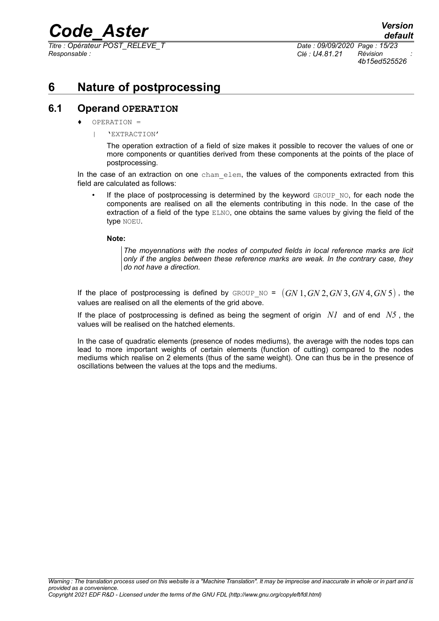*Titre : Opérateur POST\_RELEVE\_T Date : 09/09/2020 Page : 15/23 Responsable : Clé : U4.81.21 Révision :*

*4b15ed525526*

## **6 Nature of postprocessing**

### **6.1 Operand OPERATION**

- OPERATION =
	- | 'EXTRACTION'

The operation extraction of a field of size makes it possible to recover the values of one or more components or quantities derived from these components at the points of the place of postprocessing.

In the case of an extraction on one cham elem, the values of the components extracted from this field are calculated as follows:

If the place of postprocessing is determined by the keyword GROUP NO, for each node the components are realised on all the elements contributing in this node. In the case of the extraction of a field of the type ELNO, one obtains the same values by giving the field of the type NOEU.

### **Note:**

*The moyennations with the nodes of computed fields in local reference marks are licit only if the angles between these reference marks are weak. In the contrary case, they do not have a direction.*

If the place of postprocessing is defined by GROUP NO =  $(GN1, GN2, GN3,GN4,GN5)$ , the values are realised on all the elements of the grid above.

If the place of postprocessing is defined as being the segment of origin *N1* and of end *N5* , the values will be realised on the hatched elements.

In the case of quadratic elements (presence of nodes mediums), the average with the nodes tops can lead to more important weights of certain elements (function of cutting) compared to the nodes mediums which realise on 2 elements (thus of the same weight). One can thus be in the presence of oscillations between the values at the tops and the mediums.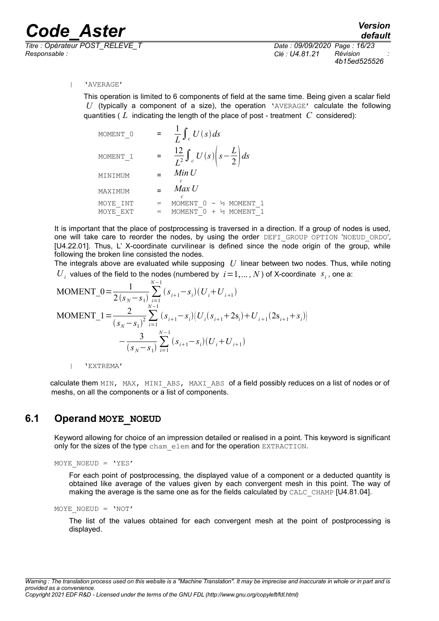*Titre : Opérateur POST\_RELEVE\_T Date : 09/09/2020 Page : 16/23 Responsable : Clé : U4.81.21 Révision :*

*4b15ed525526*

### | 'AVERAGE'

This operation is limited to 6 components of field at the same time. Being given a scalar field *U* (typically a component of a size), the operation 'AVERAGE' calculate the following quantities ( *L* indicating the length of the place of post - treatment *C* considered):

| MOMENT 0    | $\frac{1}{L}\int_{c}U(s)ds$                             |
|-------------|---------------------------------------------------------|
| MOMENT 1    | $\frac{12}{L^2}\int_c U(s)\left(s-\frac{L}{2}\right)ds$ |
| MINIMUM     | Min U                                                   |
| MAXIMUM     | Max U                                                   |
| MOYE<br>INT | MOMENT 0<br>- ½ MOMENT<br>-1                            |
| MOYE EXT    | + ½ MOMENT<br>MOMENT                                    |

It is important that the place of postprocessing is traversed in a direction. If a group of nodes is used, one will take care to reorder the nodes, by using the order DEFI GROUP OPTION 'NOEUD ORDO', [U4.22.01]. Thus, L' X-coordinate curvilinear is defined since the node origin of the group, while following the broken line consisted the nodes.

The integrals above are evaluated while supposing *U* linear between two nodes. Thus, while noting  $U_i$  values of the field to the nodes (numbered by  $i=1,\ldots,N$ ) of X-coordinate  $s_i$ , one a:

MOMENT\_0 = 
$$
\frac{1}{2(s_N - s_1)} \sum_{i=1}^{N-1} (s_{i+1} - s_i)(U_i + U_{i+1})
$$

\nMOMENT\_1 = 
$$
\frac{2}{(s_N - s_1)^2} \sum_{i=1}^{N-1} (s_{i+1} - s_i)(U_i(s_{i+1} + 2s_i) + U_{i+1}(2s_{i+1} + s_i)) - \frac{3}{(s_N - s_1)} \sum_{i=1}^{N-1} (s_{i+1} - s_i)(U_i + U_{i+1})
$$

| 'EXTREMA'

calculate them MIN, MAX, MINI\_ABS, MAXI\_ABS of a field possibly reduces on a list of nodes or of meshs, on all the components or a list of components.

### **6.1 Operand MOYE\_NOEUD**

Keyword allowing for choice of an impression detailed or realised in a point. This keyword is significant only for the sizes of the type cham elem and for the operation EXTRACTION.

MOYE NOEUD =  $'YES'$ 

For each point of postprocessing, the displayed value of a component or a deducted quantity is obtained like average of the values given by each convergent mesh in this point. The way of making the average is the same one as for the fields calculated by CALC\_CHAMP [U4.81.04].

```
MOYE NOEUD = 'NOT'
```
The list of the values obtained for each convergent mesh at the point of postprocessing is displayed.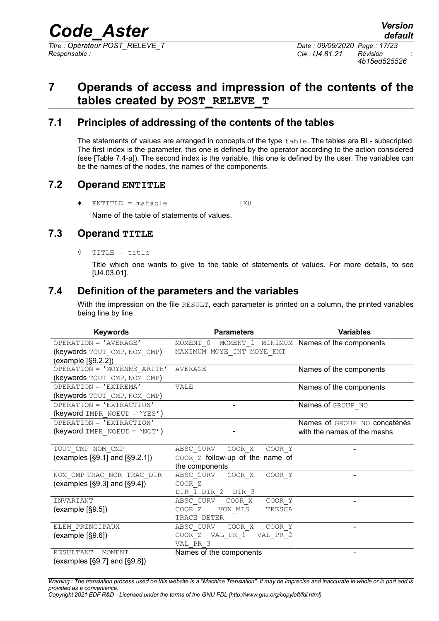*4b15ed525526*

## **7 Operands of access and impression of the contents of the tables created by POST\_RELEVE\_T**

### **7.1 Principles of addressing of the contents of the tables**

The statements of values are arranged in concepts of the type  $\text{table}$ . The tables are Bi - subscripted. The first index is the parameter, this one is defined by the operator according to the action considered (see [Table 7.4-a]). The second index is the variable, this one is defined by the user. The variables can be the names of the nodes, the names of the components.

### **7.2 Operand ENTITLE**

 $\bullet$  ENTITLE = matable  $[K8]$ 

Name of the table of statements of values.

### **7.3 Operand TITLE**

◊ TITLE = title

Title which one wants to give to the table of statements of values. For more details, to see [U4.03.01].

### **7.4 Definition of the parameters and the variables**

With the impression on the file RESULT, each parameter is printed on a column, the printed variables being line by line.

| <b>Keywords</b>                     | <b>Parameters</b>                                 | <b>Variables</b>             |  |  |
|-------------------------------------|---------------------------------------------------|------------------------------|--|--|
| OPERATION = 'AVERAGE'               | MOMENT 0 MOMENT 1 MINIMUM Names of the components |                              |  |  |
| (keywords TOUT CMP, NOM CMP)        | MAXIMUM MOYE INT MOYE EXT                         |                              |  |  |
| (example $\S9.2.2$ )                |                                                   |                              |  |  |
| OPERATION = 'MOYENNE ARITH'         | AVERAGE                                           | Names of the components      |  |  |
| (keywords TOUT CMP, NOM CMP)        |                                                   |                              |  |  |
| OPERATION = 'EXTREMA'               | VALE                                              | Names of the components      |  |  |
| (keywords TOUT CMP, NOM CMP)        |                                                   |                              |  |  |
| OPERATION = 'EXTRACTION'            |                                                   | Names of GROUP NO            |  |  |
| (keyword IMPR NOEUD = 'YES')        |                                                   |                              |  |  |
| OPERATION = 'EXTRACTION'            |                                                   | Names of GROUP NO concaténés |  |  |
| (keyword IMPR NOEUD = 'NOT')        |                                                   | with the names of the meshs  |  |  |
|                                     |                                                   |                              |  |  |
| TOUT CMP NOM CMP                    | COOR X<br>COOR Y<br>ABSC CURV                     | $\overline{\phantom{0}}$     |  |  |
| (examples $[§9.1]$ and $[§9.2.1]$ ) | COOR Z follow-up of the name of                   |                              |  |  |
|                                     | the components                                    |                              |  |  |
| NOM CMP TRAC NOR TRAC DIR           | ABSC CURV COOR X<br>COOR Y                        |                              |  |  |
| (examples $[§9.3]$ and $[§9.4]$ )   | COOR <sub>Z</sub>                                 |                              |  |  |
|                                     | DIR 1 DIR 2 DIR 3                                 |                              |  |  |
| INVARIANT                           | COOR X<br>ABSC CURV<br>COOR Y                     | $\qquad \qquad \blacksquare$ |  |  |
| (example [§9.5])                    | COOR <sub>Z</sub><br>VON MIS<br>TRESCA            |                              |  |  |
|                                     | TRACE DETER                                       |                              |  |  |
| ELEM PRINCIPAUX                     | COOR X<br>COOR Y<br>ABSC CURV                     | $\qquad \qquad \blacksquare$ |  |  |
| (example [§9.6])                    | COOR Z VAL PR 1 VAL PR 2                          |                              |  |  |
|                                     | VAL PR 3                                          |                              |  |  |
| RESULTANT<br>MOMENT                 | Names of the components                           | $\overline{\phantom{0}}$     |  |  |
| (examples $[§9.7]$ and $[§9.8]$ )   |                                                   |                              |  |  |

*Warning : The translation process used on this website is a "Machine Translation". It may be imprecise and inaccurate in whole or in part and is provided as a convenience.*

*Copyright 2021 EDF R&D - Licensed under the terms of the GNU FDL (http://www.gnu.org/copyleft/fdl.html)*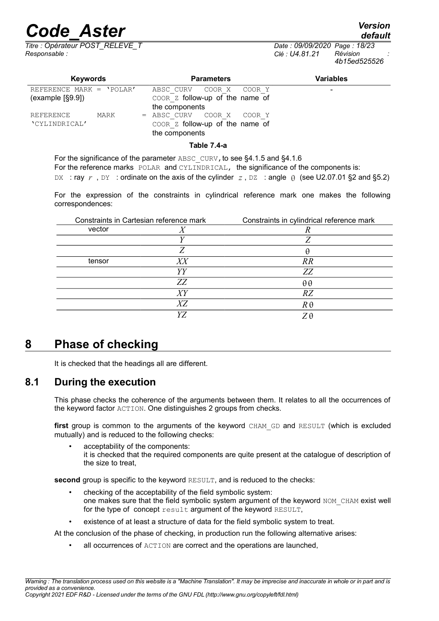## *Code\_Aster*<br>Consider *Condensity*<br>Consider the Constant *Code Caugh Date : 09/09/2020 Page : 18/23*

*Titre : Opérateur POST\_RELEVE\_T Date : 09/09/2020 Page : 18/23 Responsable : Clé : U4.81.21 Révision :*

*4b15ed525526*

| <b>Keywords</b>            | <b>Parameters</b>               | <b>Variables</b> |
|----------------------------|---------------------------------|------------------|
| REFERENCE MARK = $'POLAR'$ | ABSC CURV COOR X COOR Y         |                  |
| (example [§9.9])           | COOR Z follow-up of the name of |                  |
|                            | the components                  |                  |
| REFERENCE<br>MARK          | $=$ ABSC CURV COOR X COOR Y     |                  |
| 'CYLINDRICAL'              | COOR Z follow-up of the name of |                  |
|                            | the components                  |                  |

### **Table 7.4-a**

For the significance of the parameter ABSC CURV, to see §4.1.5 and §4.1.6 For the reference marks POLAR and CYLINDRICAL, the significance of the components is: DX : ray  $r$ , DY : ordinate on the axis of the cylinder  $z$ , DZ : angle  $\theta$  (see U2.07.01 §2 and §5.2)

For the expression of the constraints in cylindrical reference mark one makes the following correspondences:

| Constraints in Cartesian reference mark |    | Constraints in cylindrical reference mark |
|-----------------------------------------|----|-------------------------------------------|
| vector                                  |    |                                           |
|                                         |    |                                           |
|                                         |    | Н                                         |
| tensor                                  | XX | RR                                        |
|                                         | YΥ | ZZ                                        |
|                                         | ZZ | $\theta \theta$                           |
|                                         | XY | RZ                                        |
|                                         | XZ | $R\theta$                                 |
|                                         | V7 | 'Η                                        |

## **8 Phase of checking**

It is checked that the headings all are different.

### **8.1 During the execution**

This phase checks the coherence of the arguments between them. It relates to all the occurrences of the keyword factor ACTION. One distinguishes 2 groups from checks.

first group is common to the arguments of the keyword CHAM GD and RESULT (which is excluded mutually) and is reduced to the following checks:

acceptability of the components: it is checked that the required components are quite present at the catalogue of description of the size to treat,

**second** group is specific to the keyword RESULT, and is reduced to the checks:

- checking of the acceptability of the field symbolic system: one makes sure that the field symbolic system argument of the keyword NOM CHAM exist well for the type of concept result argument of the keyword RESULT,
- existence of at least a structure of data for the field symbolic system to treat.

At the conclusion of the phase of checking, in production run the following alternative arises:

all occurrences of ACTION are correct and the operations are launched,

*default*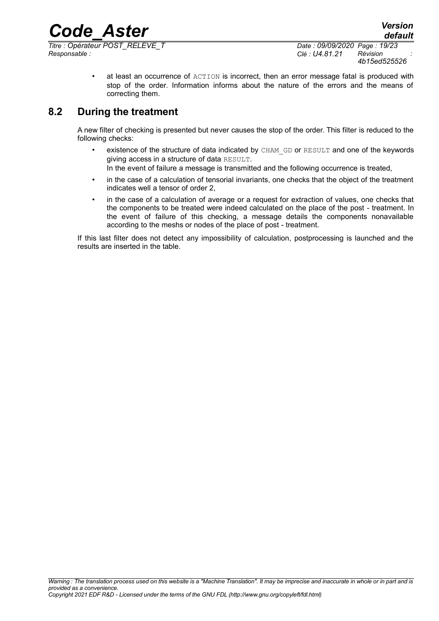*Titre : Opérateur POST\_RELEVE\_T Date : 09/09/2020 Page : 19/23 Responsable : Clé : U4.81.21 Révision :*

at least an occurrence of ACTION is incorrect, then an error message fatal is produced with stop of the order. Information informs about the nature of the errors and the means of correcting them.

### **8.2 During the treatment**

A new filter of checking is presented but never causes the stop of the order. This filter is reduced to the following checks:

• existence of the structure of data indicated by CHAM GD or RESULT and one of the keywords giving access in a structure of data RESULT.

In the event of failure a message is transmitted and the following occurrence is treated,

- in the case of a calculation of tensorial invariants, one checks that the object of the treatment indicates well a tensor of order 2,
- in the case of a calculation of average or a request for extraction of values, one checks that the components to be treated were indeed calculated on the place of the post - treatment. In the event of failure of this checking, a message details the components nonavailable according to the meshs or nodes of the place of post - treatment.

If this last filter does not detect any impossibility of calculation, postprocessing is launched and the results are inserted in the table.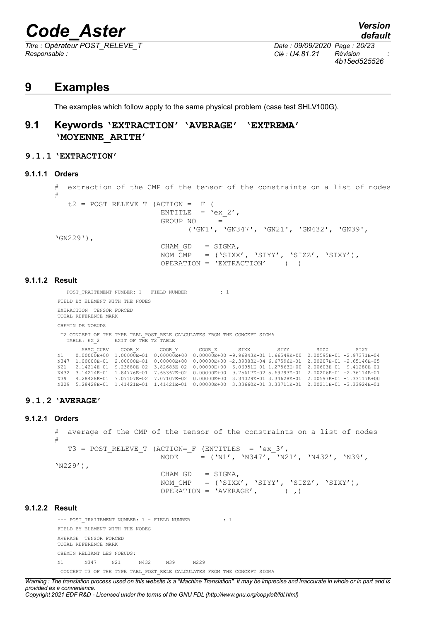*Titre : Opérateur POST\_RELEVE\_T Date : 09/09/2020 Page : 20/23 Responsable : Clé : U4.81.21 Révision :*

### **9 Examples**

The examples which follow apply to the same physical problem (case test SHLV100G).

### **9.1 Keywords 'EXTRACTION' 'AVERAGE' 'EXTREMA' 'MOYENNE\_ARITH'**

### **9.1.1 'EXTRACTION'**

#### **9.1.1.1 Orders**

```
# extraction of the CMP of the tensor of the constraints on a list of nodes
#
  t2 = POST RELEVE T (ACTION = F (
                       ENTITLE = 'ex 2', GROUP_NO = 
                               ('GN1', 'GN347', 'GN21', 'GN432', 'GN39', 
'GN229'),
                       CHAM GD = SIGMA,
                       NOM_CMP = ('SIXX', 'SIYY', 'SIZZ', 'SIXX'),OPERATION = 'EXTRACTION' ) )
```
#### **9.1.1.2 Result**

--- POST TRAITEMENT NUMBER: 1 - FIELD NUMBER : 1 FIELD BY ELEMENT WITH THE NODES EXTRACTION TENSOR FORCED TOTAL REFERENCE MARK CHEMIN DE NOEUDS T2 CONCEPT OF THE TYPE TABL\_POST\_RELE CALCULATES FROM THE CONCEPT SIGMA TABLE: EX\_2 EXIT OF THE T2 TABLE ABSC\_CURV COOR\_X COOR\_Y COOR\_Z SIXX SIYY SIZZ SIXY<br>1.0.0000E+00 1.00000E-01 0.00000E+00 0.00000E+00 -9.96843E-01 1.66549E+00 2.00595E-01 -2.97371E-04<br>1.00000E-01 2.00000E-01 0.00000E+00 0.00000E+00 -2.39383E-04 6.67596E-01 N21 2.14214E-01 9.23880E-02 3.82683E-02 0.00000E+00 -6.06951E-01 1.27563E+00 2.00603E-01 -9.41280E-01 N432 3.14214E-01 1.84776E-01 7.65367E-02 0.00000E+00 9.75617E-02 5.69793E-01 2.00206E-01 -2.36114E-01 N39 4.28428E-01 7.07107E-02 7.07107E-02 0.00000E+00 3.34029E-01 3.34628E-01 2.00597E-01 -1.33117E+00 N229 5.28428E-01 1.41421E-01 1.41421E-01 0.00000E+00 3.33660E-01 3.33711E-01 2.00211E-01 -3.33924E-01

### **9.1.2 'AVERAGE'**

#### **9.1.2.1 Orders**

# average of the CMP of the tensor of the constraints on a list of nodes # T3 = POST RELEVE T (ACTION= F (ENTITLES =  $'ex3'$ , NODE =  $(N1', YN347', YN21', YN432', YN39',$ 'N229'),

 $CHAM$  GD  $=$  SIGMA, NOM  $\overline{C}MP = ('SIXX', 'SIYY', 'SIZZ', 'SIXY'),$  $OPERATION = 'AVERAGE', ()$ 

### **9.1.2.2 Result**

--- POST TRAITEMENT NUMBER: 1 - FIELD NUMBER : 1 FIELD BY ELEMENT WITH THE NODES AVERAGE TENSOR FORCED TOTAL REFERENCE MARK CHEMIN RELIANT LES NOEUDS: N1 N347 N21 N432 N39 N229

CONCEPT T3 OF THE TYPE TABL\_POST\_RELE CALCULATES FROM THE CONCEPT SIGMA

*Warning : The translation process used on this website is a "Machine Translation". It may be imprecise and inaccurate in whole or in part and is provided as a convenience.*

*Copyright 2021 EDF R&D - Licensed under the terms of the GNU FDL (http://www.gnu.org/copyleft/fdl.html)*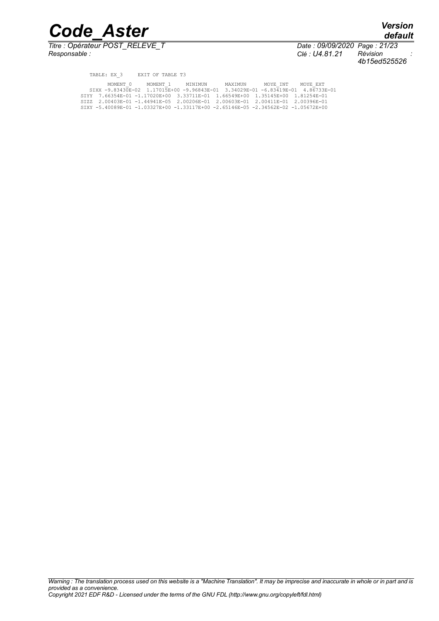*Titre : Opérateur POST\_RELEVE\_T Date : 09/09/2020 Page : 21/23*

*Responsable : Clé : U4.81.21 Révision : 4b15ed525526*

*default*

| TABLE: EX 3 EXIT OF TABLE T3                                                       |                  |         |          |          |
|------------------------------------------------------------------------------------|------------------|---------|----------|----------|
| MOMENT 0                                                                           | MOMENT 1 MINIMUN | MAXTMUN | MOYE INT | MOYE EXT |
| SIXX -9.83430E-02 1.17015E+00 -9.96843E-01 3.34029E-01 -6.83419E-01 4.86733E-01    |                  |         |          |          |
| SIYY 7.66354E-01 -1.17020E+00 3.33711E-01 1.66549E+00 1.35145E+00 1.81254E-01      |                  |         |          |          |
| SIZZ 2.00403E-01 -1.44941E-05 2.00206E-01 2.00603E-01 2.00411E-01 2.00396E-01      |                  |         |          |          |
| SIXY -5.40089E-01 -1.03327E+00 -1.33117E+00 -2.65146E-05 -2.34562E-02 -1.05672E+00 |                  |         |          |          |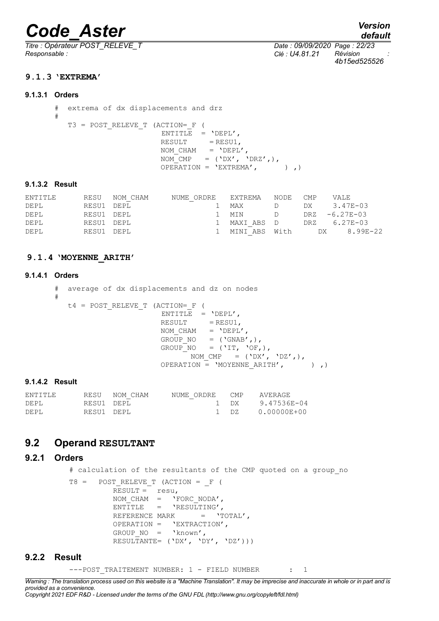*Titre : Opérateur POST\_RELEVE\_T Date : 09/09/2020 Page : 22/23 Responsable : Clé : U4.81.21 Révision :*

```
default
```
*4b15ed525526*

### **9.1.3 'EXTREMA'**

#### **9.1.3.1 Orders**

```
# extrema of dx displacements and drz
#
   T3 = POST_RELEVE_T (ACTION=_F ( 
                       ENTITLE = 'DEPL',RESULT = RESU1,
                       NOM CHAM = 'DEFL',\overline{NOM} CMP = ('DX', 'DRZ',),
                       OPERATION = 'EXTREMA', ),
```
#### **9.1.3.2 Result**

| ENTITLE |            | RESU NOM CHAM | NUME ORDRE | EXTREMA       | NODE | $\mathsf{CMP}$ | VALE               |
|---------|------------|---------------|------------|---------------|------|----------------|--------------------|
| DEPL    | RESU1 DEPL |               |            | MAX           | D    |                | DX 3.47E-03        |
| DEPL    | RESU1 DEPL |               |            | 1 MTN         | D    |                | $DRZ - 6.27E - 03$ |
| DEPL    | RESU1 DEPL |               | 1.         | MAXI ABS D    |      |                | DRZ 6.27E-03       |
| DEPL    | RESU1 DEPL |               |            | MINI ABS With |      |                | DX 8.99E-22        |

### **9.1.4 'MOYENNE\_ARITH'**

#### **9.1.4.1 Orders**

```
# average of dx displacements and dz on nodes
#
   t4 = POST_RELEVE_T (ACTION=_F ( 
                   ENTITLE = 'DEPL',RESULT = RESU1,
                   NOM CHAM = 'DEPL',
GROUP NO = ('GNAB',),GROUP_NO = ('IT, 'OF, ),NOM CMP = (\ 'DX', 'DZ',') ,OPERATION = 'MOYENNE ARITH', ) , )
```
### **9.1.4.2 Result**

| ENTITLE |            | RESU NOM CHAM | NUME ORDRE CMP |        | AVERAGE     |
|---------|------------|---------------|----------------|--------|-------------|
| DEPL    | RESU1 DEPL |               |                | את 1   | 9.47536E-04 |
| DEPL    | RESU1 DEPL |               |                | 7 ה- 1 | 0.00000E+00 |

### **9.2 Operand RESULTANT**

### **9.2.1 Orders**

# calculation of the resultants of the CMP quoted on a group no

```
T8 = POST RELEVE T (ACTION = F (
         RESULT = resu,NOM CHAM = 'FORCNODA',
         ENTITLE = 'RESULTING',
        REFERENCE MARK = 'TOTAL',
        OPERATION = 'EXTRACTION',
         GROUP NO = 'know',
        RESULTANTE= (YDX', YDY', YDZ'))
```
### **9.2.2 Result**

---POST TRAITEMENT NUMBER: 1 - FIELD NUMBER : 1

*Warning : The translation process used on this website is a "Machine Translation". It may be imprecise and inaccurate in whole or in part and is provided as a convenience.*

*Copyright 2021 EDF R&D - Licensed under the terms of the GNU FDL (http://www.gnu.org/copyleft/fdl.html)*